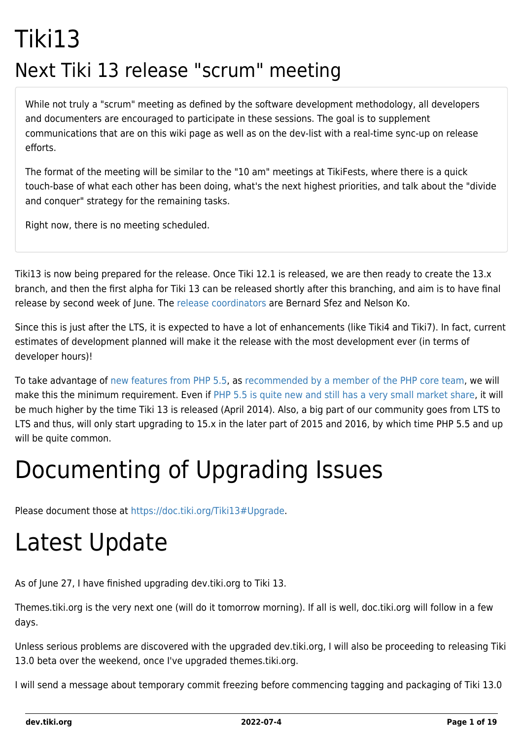## Tiki13 Next Tiki 13 release "scrum" meeting

While not truly a "scrum" meeting as defined by the software development methodology, all developers and documenters are encouraged to participate in these sessions. The goal is to supplement communications that are on this wiki page as well as on the dev-list with a real-time sync-up on release efforts.

The format of the meeting will be similar to the "10 am" meetings at TikiFests, where there is a quick touch-base of what each other has been doing, what's the next highest priorities, and talk about the "divide and conquer" strategy for the remaining tasks.

Right now, there is no meeting scheduled.

Tiki13 is now being prepared for the release. Once Tiki 12.1 is released, we are then ready to create the 13.x branch, and then the first alpha for Tiki 13 can be released shortly after this branching, and aim is to have final release by second week of June. The [release coordinators](http://tiki.org/release%20coordinators) are Bernard Sfez and Nelson Ko.

Since this is just after the LTS, it is expected to have a lot of enhancements (like Tiki4 and Tiki7). In fact, current estimates of development planned will make it the release with the most development ever (in terms of developer hours)!

To take advantage of [new features from PHP 5.5](http://php.net/manual/en/migration55.new-features.php), as [recommended by a member of the PHP core team,](http://schlueters.de/blog/archives/173-PHP-5.5-is-out,-whats-up-with-5.4-and-5.3.html) we will make this the minimum requirement. Even if [PHP 5.5 is quite new and still has a very small market share,](http://w3techs.com/technologies/details/pl-php/5/all) it will be much higher by the time Tiki 13 is released (April 2014). Also, a big part of our community goes from LTS to LTS and thus, will only start upgrading to 15.x in the later part of 2015 and 2016, by which time PHP 5.5 and up will be quite common.

## Documenting of Upgrading Issues

Please document those at [https://doc.tiki.org/Tiki13#Upgrade.](https://doc.tiki.org/Tiki13#Upgrade)

## Latest Update

As of June 27, I have finished upgrading dev.tiki.org to Tiki 13.

Themes.tiki.org is the very next one (will do it tomorrow morning). If all is well, doc.tiki.org will follow in a few days.

Unless serious problems are discovered with the upgraded dev.tiki.org, I will also be proceeding to releasing Tiki 13.0 beta over the weekend, once I've upgraded themes.tiki.org.

I will send a message about temporary commit freezing before commencing tagging and packaging of Tiki 13.0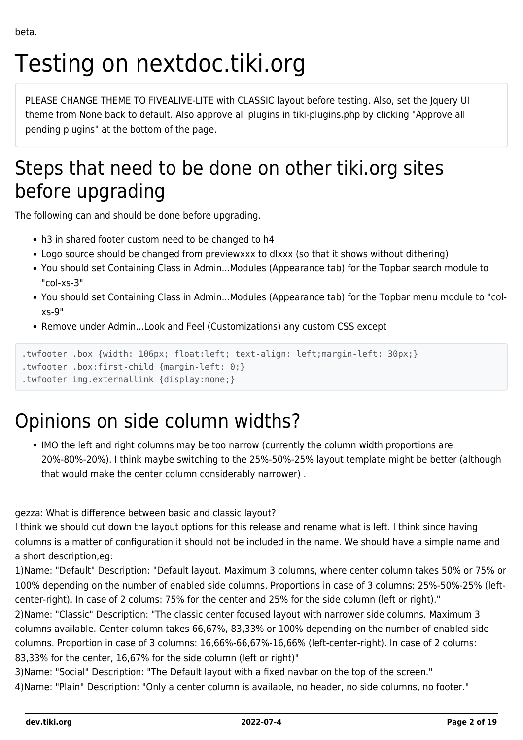# Testing on nextdoc.tiki.org

PLEASE CHANGE THEME TO FIVEALIVE-LITE with CLASSIC layout before testing. Also, set the Jquery UI theme from None back to default. Also approve all plugins in tiki-plugins.php by clicking "Approve all pending plugins" at the bottom of the page.

## Steps that need to be done on other tiki.org sites before upgrading

The following can and should be done before upgrading.

- h3 in shared footer custom need to be changed to h4
- Logo source should be changed from previewxxx to dlxxx (so that it shows without dithering)
- You should set Containing Class in Admin...Modules (Appearance tab) for the Topbar search module to "col-xs-3"
- You should set Containing Class in Admin...Modules (Appearance tab) for the Topbar menu module to "colxs-9"
- Remove under Admin...Look and Feel (Customizations) any custom CSS except

```
.twfooter .box {width: 106px; float:left; text-align: left;margin-left: 30px;}
```

```
.twfooter .box:first-child {margin-left: 0;}
```

```
.twfooter img.externallink {display:none;}
```
### Opinions on side column widths?

IMO the left and right columns may be too narrow (currently the column width proportions are 20%-80%-20%). I think maybe switching to the 25%-50%-25% layout template might be better (although that would make the center column considerably narrower) .

gezza: What is difference between basic and classic layout?

I think we should cut down the layout options for this release and rename what is left. I think since having columns is a matter of configuration it should not be included in the name. We should have a simple name and a short description,eg:

1)Name: "Default" Description: "Default layout. Maximum 3 columns, where center column takes 50% or 75% or 100% depending on the number of enabled side columns. Proportions in case of 3 columns: 25%-50%-25% (leftcenter-right). In case of 2 colums: 75% for the center and 25% for the side column (left or right)."

2)Name: "Classic" Description: "The classic center focused layout with narrower side columns. Maximum 3 columns available. Center column takes 66,67%, 83,33% or 100% depending on the number of enabled side columns. Proportion in case of 3 columns: 16,66%-66,67%-16,66% (left-center-right). In case of 2 colums: 83,33% for the center, 16,67% for the side column (left or right)"

3)Name: "Social" Description: "The Default layout with a fixed navbar on the top of the screen." 4)Name: "Plain" Description: "Only a center column is available, no header, no side columns, no footer."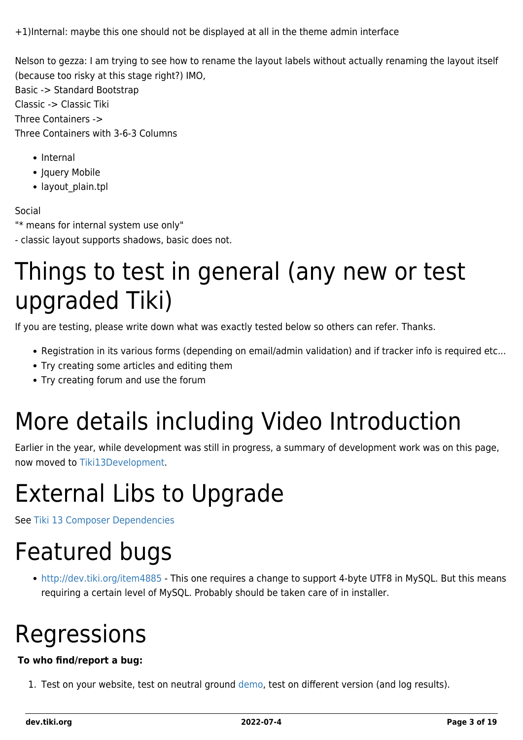+1)Internal: maybe this one should not be displayed at all in the theme admin interface

Nelson to gezza: I am trying to see how to rename the layout labels without actually renaming the layout itself (because too risky at this stage right?) IMO,

Basic -> Standard Bootstrap Classic -> Classic Tiki Three Containers -> Three Containers with 3-6-3 Columns

- Internal
- Jquery Mobile
- layout plain.tpl

#### Social

"\* means for internal system use only"

- classic layout supports shadows, basic does not.

## Things to test in general (any new or test upgraded Tiki)

If you are testing, please write down what was exactly tested below so others can refer. Thanks.

- Registration in its various forms (depending on email/admin validation) and if tracker info is required etc...
- Try creating some articles and editing them
- Try creating forum and use the forum

# More details including Video Introduction

Earlier in the year, while development was still in progress, a summary of development work was on this page, now moved to [Tiki13Development](https://dev.tiki.org/tiki13Development).

## External Libs to Upgrade

See [Tiki 13 Composer Dependencies](https://dev.tiki.org/Tiki-13-Composer-Dependencies)

## Featured bugs

<http://dev.tiki.org/item4885> - This one requires a change to support 4-byte UTF8 in MySQL. But this means requiring a certain level of MySQL. Probably should be taken care of in installer.

## Regressions

#### **To who find/report a bug:**

1. Test on your website, test on neutral ground [demo,](http://demo.tiki.org) test on different version (and log results).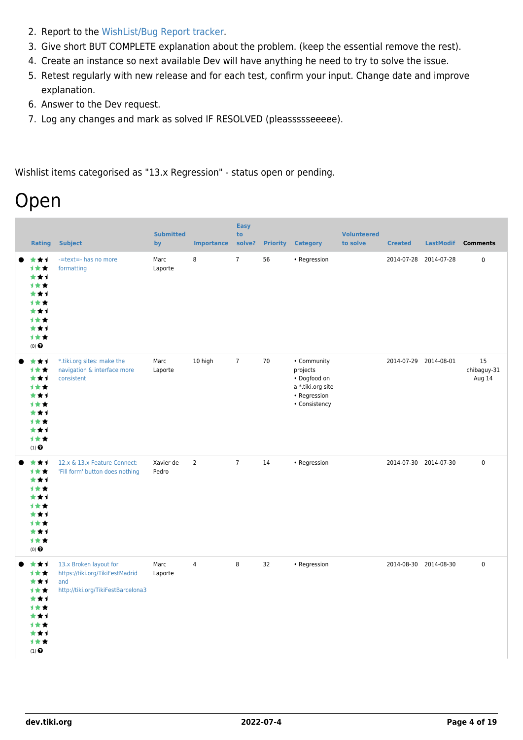- 2. Report to the [WishList/Bug Report tracker.](https://dev.tiki.org/Make+a+wish)
- 3. Give short BUT COMPLETE explanation about the problem. (keep the essential remove the rest).
- 4. Create an instance so next available Dev will have anything he need to try to solve the issue.
- 5. Retest regularly with new release and for each test, confirm your input. Change date and improve explanation.
- 6. Answer to the Dev request.
- 7. Log any changes and mark as solved IF RESOLVED (pleassssseeeee).

Wishlist items categorised as "13.x Regression" - status open or pending.

### Open

| <b>Rating</b>                                                                          | <b>Subject</b>                                                                                         | <b>Submitted</b><br>by | <b>Importance</b> | <b>Easy</b><br>to<br>solve? | <b>Priority</b> | <b>Category</b>                                                                               | <b>Volunteered</b><br>to solve | <b>Created</b>        | <b>LastModif</b> | <b>Comments</b>             |
|----------------------------------------------------------------------------------------|--------------------------------------------------------------------------------------------------------|------------------------|-------------------|-----------------------------|-----------------|-----------------------------------------------------------------------------------------------|--------------------------------|-----------------------|------------------|-----------------------------|
| ***<br>计女女<br>***<br>1★★<br>***<br>计女女<br>***<br>1★★<br>***<br>计女女<br>$(0)$ $\bigodot$ | -=text=- has no more<br>formatting                                                                     | Marc<br>Laporte        | 8                 | $\overline{7}$              | 56              | • Regression                                                                                  |                                | 2014-07-28 2014-07-28 |                  | $\pmb{0}$                   |
| ***<br>计女女<br>***<br>计女女<br>***<br>1★★<br>★★↑<br>计女女<br>***<br>1★★<br>$(1)$ $\odot$    | *.tiki.org sites: make the<br>navigation & interface more<br>consistent                                | Marc<br>Laporte        | 10 high           | $\overline{7}$              | 70              | • Community<br>projects<br>• Dogfood on<br>a *.tiki.org site<br>• Regression<br>• Consistency |                                | 2014-07-29 2014-08-01 |                  | 15<br>chibaguy-31<br>Aug 14 |
| ***<br>计女女<br>***<br>1★★<br>***<br>1★★<br>***<br>1★★<br>***<br>计女女<br>$(0)$ $\odot$    | 12.x & 13.x Feature Connect:<br>'Fill form' button does nothing                                        | Xavier de<br>Pedro     | $\overline{2}$    | $\overline{7}$              | 14              | • Regression                                                                                  |                                | 2014-07-30 2014-07-30 |                  | $\pmb{0}$                   |
| ***<br>1★★<br>***<br>计女女<br>***<br>1★★<br>***<br>计女女<br>***<br>计女女<br>$(1)$ $\odot$    | 13.x Broken layout for<br>https://tiki.org/TikiFestMadrid<br>and<br>http://tiki.org/TikiFestBarcelona3 | Marc<br>Laporte        | 4                 | 8                           | 32              | • Regression                                                                                  |                                | 2014-08-30 2014-08-30 |                  | $\mathbf 0$                 |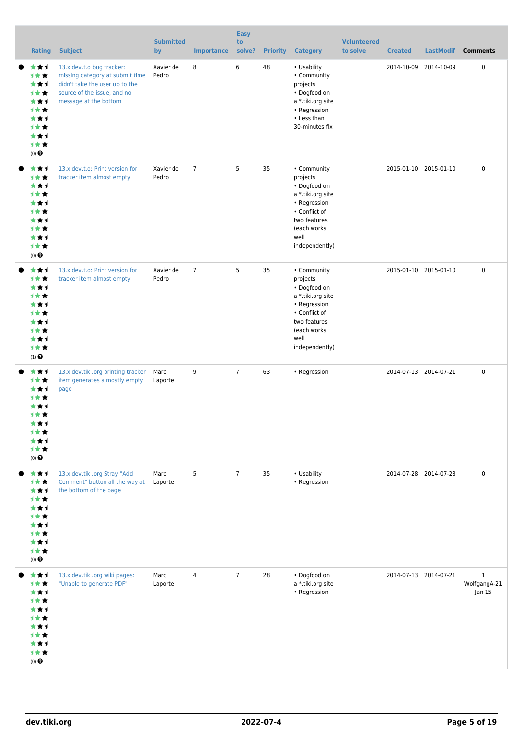| <b>Rating</b>                                                                                 | <b>Subject</b>                                                                                                                                         | <b>Submitted</b><br>by | <b>Importance</b> | <b>Easy</b><br>to<br>solve? | <b>Priority</b> | <b>Category</b>                                                                                                                                        | <b>Volunteered</b><br>to solve | <b>Created</b>        | <b>LastModif</b> | <b>Comments</b>                        |
|-----------------------------------------------------------------------------------------------|--------------------------------------------------------------------------------------------------------------------------------------------------------|------------------------|-------------------|-----------------------------|-----------------|--------------------------------------------------------------------------------------------------------------------------------------------------------|--------------------------------|-----------------------|------------------|----------------------------------------|
| ***<br>1★★<br>***<br>计女女<br>***<br>计女女<br>***<br>计女女<br>***<br>计女女<br>$(0)$ $\odot$           | 13.x dev.t.o bug tracker:<br>missing category at submit time<br>didn't take the user up to the<br>source of the issue, and no<br>message at the bottom | Xavier de<br>Pedro     | 8                 | 6                           | 48              | • Usability<br>• Community<br>projects<br>• Dogfood on<br>a *.tiki.org site<br>• Regression<br>• Less than<br>30-minutes fix                           |                                | 2014-10-09 2014-10-09 |                  | $\pmb{0}$                              |
| ***<br>计女女<br>***<br>1★★<br>***<br>计女女<br>***<br>计女女<br>***<br>计女女<br>$(0)$ $\odot$           | 13.x dev.t.o: Print version for<br>tracker item almost empty                                                                                           | Xavier de<br>Pedro     | $\overline{7}$    | 5                           | 35              | • Community<br>projects<br>• Dogfood on<br>a *.tiki.org site<br>• Regression<br>• Conflict of<br>two features<br>(each works<br>well<br>independently) |                                | 2015-01-10 2015-01-10 |                  | $\mathbf 0$                            |
| ***<br>计女女<br>***<br>计女女<br>***<br>计女女<br>***<br>计女女<br>***<br>计女女<br>$(1)$<br>$\pmb{\Theta}$ | 13.x dev.t.o: Print version for<br>tracker item almost empty                                                                                           | Xavier de<br>Pedro     | $\overline{7}$    | 5                           | 35              | • Community<br>projects<br>• Dogfood on<br>a *.tiki.org site<br>• Regression<br>• Conflict of<br>two features<br>(each works<br>well<br>independently) |                                | 2015-01-10 2015-01-10 |                  | $\pmb{0}$                              |
| ***<br>计女女<br>***<br>计女女<br>★★★<br>计女女<br>***<br>计女女<br>***<br>计女女<br>$(0)$ $\bigodot$        | 13.x dev.tiki.org printing tracker<br>item generates a mostly empty<br>page                                                                            | Marc<br>Laporte        | 9                 | $\overline{7}$              | 63              | • Regression                                                                                                                                           |                                | 2014-07-13 2014-07-21 |                  | $\mathbf 0$                            |
| 女女子<br>计女女<br>***<br>计女女<br>***<br>计女女<br>***<br>计女女<br>***<br>计女女<br>$(0)$ $\pmb{\Theta}$    | 13.x dev.tiki.org Stray "Add<br>Comment" button all the way at<br>the bottom of the page                                                               | Marc<br>Laporte        | 5                 | $\overline{7}$              | 35              | • Usability<br>• Regression                                                                                                                            |                                | 2014-07-28 2014-07-28 |                  | $\pmb{0}$                              |
| ***<br>计女女<br>***<br>计女女<br>***<br>计女女<br>***<br>计女女<br>***<br>计女女<br>$(0)$<br>$\pmb{\Theta}$ | 13.x dev.tiki.org wiki pages:<br>"Unable to generate PDF"                                                                                              | Marc<br>Laporte        | 4                 | $\overline{7}$              | 28              | • Dogfood on<br>a *.tiki.org site<br>• Regression                                                                                                      |                                | 2014-07-13 2014-07-21 |                  | $\mathbf{1}$<br>WolfgangA-21<br>Jan 15 |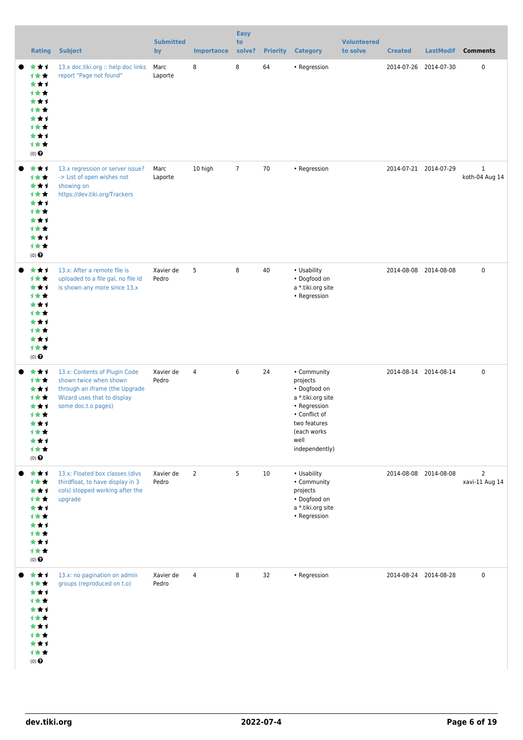| <b>Rating</b>                                                                                 | <b>Subject</b>                                                                                                                                  | <b>Submitted</b><br>by | <b>Importance</b> | <b>Easy</b><br>to<br>solve? | <b>Priority</b> | <b>Category</b>                                                                                                                                        | <b>Volunteered</b><br>to solve | <b>Created</b>        | <b>LastModif</b>      | <b>Comments</b>                  |
|-----------------------------------------------------------------------------------------------|-------------------------------------------------------------------------------------------------------------------------------------------------|------------------------|-------------------|-----------------------------|-----------------|--------------------------------------------------------------------------------------------------------------------------------------------------------|--------------------------------|-----------------------|-----------------------|----------------------------------|
| ***<br>1★★<br>***<br>1★★<br>***<br>计女女<br>★★↑<br>计女女<br>***<br>计女女<br>$(0)$ $\odot$           | 13.x doc.tiki.org :: help doc links<br>report "Page not found"                                                                                  | Marc<br>Laporte        | 8                 | 8                           | 64              | • Regression                                                                                                                                           |                                |                       | 2014-07-26 2014-07-30 | $\pmb{0}$                        |
| ***<br>计女女<br>***<br>计女女<br>***<br>1★★<br>***<br>计女女<br>***<br>计女女<br>$(0)$ $\odot$           | 13.x regression or server issue?<br>-> List of open wishes not<br>showing on<br>https://dev.tiki.org/Trackers                                   | Marc<br>Laporte        | 10 high           | $\overline{7}$              | 70              | • Regression                                                                                                                                           |                                |                       | 2014-07-21 2014-07-29 | $\mathbf{1}$<br>koth-04 Aug 14   |
| ***<br>计女女<br>***<br>计女女<br>***<br>计女女<br>★★↑<br>计女女<br>***<br>计女女<br>$(0)$ $\bigodot$        | 13.x: After a remote file is<br>uploaded to a file gal, no file Id<br>is shown any more since 13.x                                              | Xavier de<br>Pedro     | 5                 | 8                           | 40              | • Usability<br>• Dogfood on<br>a *.tiki.org site<br>• Regression                                                                                       |                                |                       | 2014-08-08 2014-08-08 | $\mathbf 0$                      |
| ***<br>计女女<br>***<br>计女女<br>***<br>1★★<br>***<br>计女女<br>***<br>计女女<br>$(0)$ $\bigodot$        | 13.x: Contents of Plugin Code<br>shown twice when shown<br>through an iframe (the Upgrade<br>Wizard uses that to display<br>some doc.t.o pages) | Xavier de<br>Pedro     | 4                 | 6                           | 24              | • Community<br>projects<br>• Dogfood on<br>a *.tiki.org site<br>• Regression<br>• Conflict of<br>two features<br>(each works<br>well<br>independently) |                                |                       | 2014-08-14 2014-08-14 | $\pmb{0}$                        |
| ***<br>计女女<br>***<br>计女女<br>***<br>计女女<br>***<br>计女女<br>***<br>计女女<br>$(0)$<br>$\pmb{\Theta}$ | 13.x: Floated box classes (divs<br>thirdfloat, to have display in 3<br>cols) stopped working after the<br>upgrade                               | Xavier de<br>Pedro     | $\overline{2}$    | 5                           | $10\,$          | • Usability<br>• Community<br>projects<br>• Dogfood on<br>a *.tiki.org site<br>• Regression                                                            |                                |                       | 2014-08-08 2014-08-08 | $\overline{2}$<br>xavi-11 Aug 14 |
| ***<br>计女女<br>***<br>计女女<br>***<br>计女女<br>***<br>计女女<br>***<br>计女女<br>$(0)$ $\bigodot$        | 13.x: no pagination on admin<br>groups (reproduced on t.o)                                                                                      | Xavier de<br>Pedro     | 4                 | 8                           | 32              | • Regression                                                                                                                                           |                                | 2014-08-24 2014-08-28 |                       | $\pmb{0}$                        |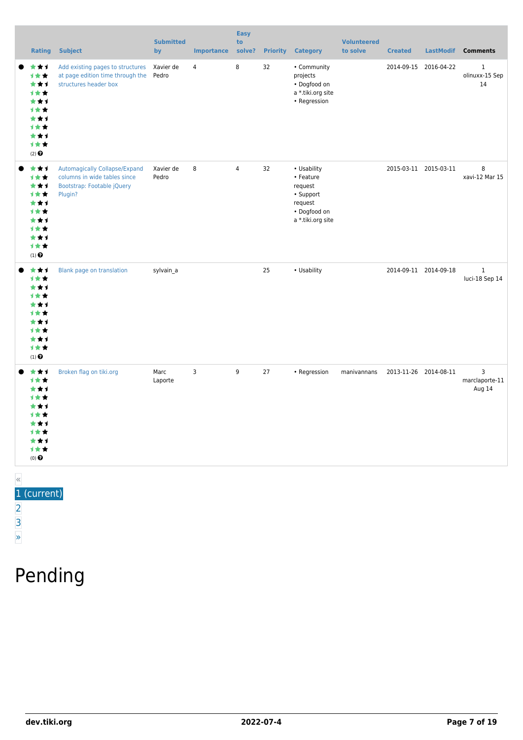| <b>Rating</b>                                                                                                    | <b>Subject</b>                                                                                                | <b>Submitted</b><br>by | Importance | <b>Easy</b><br>to<br>solve? | <b>Priority</b> | <b>Category</b>                                                                                  | <b>Volunteered</b><br>to solve | <b>Created</b>        | LastModif             | <b>Comments</b>                            |
|------------------------------------------------------------------------------------------------------------------|---------------------------------------------------------------------------------------------------------------|------------------------|------------|-----------------------------|-----------------|--------------------------------------------------------------------------------------------------|--------------------------------|-----------------------|-----------------------|--------------------------------------------|
| ***<br>计女女<br>***<br>1★★<br>***<br>1★★<br>***<br>1★★<br>***<br>计女女<br>$(2)$ <sup><math>\odot</math></sup>        | Add existing pages to structures<br>at page edition time through the<br>structures header box                 | Xavier de<br>Pedro     | 4          | 8                           | 32              | • Community<br>projects<br>• Dogfood on<br>a *.tiki.org site<br>• Regression                     |                                |                       | 2014-09-15 2016-04-22 | $\mathbf{1}$<br>olinuxx-15 Sep<br>14       |
| ***<br>1★★<br>***<br>计女女<br>***<br>1★★<br>***<br>计女女<br>***<br>1★★<br>$(1)$ $\odot$                              | <b>Automagically Collapse/Expand</b><br>columns in wide tables since<br>Bootstrap: Footable jQuery<br>Plugin? | Xavier de<br>Pedro     | 8          | $\overline{4}$              | 32              | • Usability<br>• Feature<br>request<br>• Support<br>request<br>• Dogfood on<br>a *.tiki.org site |                                | 2015-03-11 2015-03-11 |                       | 8<br>xavi-12 Mar 15                        |
| ***<br>计女女<br>***<br>1★★<br>***<br><b>1**</b><br>***<br>1★★<br>***<br>1★★<br>$(1)$ <sup><math>\odot</math></sup> | Blank page on translation                                                                                     | sylvain a              |            |                             | 25              | • Usability                                                                                      |                                | 2014-09-11 2014-09-18 |                       | $1\,$<br>luci-18 Sep 14                    |
| ***<br>1★★<br>***<br>计女女<br>***<br><b>1**</b><br>***<br>1★★<br>***<br>计女女<br>$(0)$ $\odot$                       | Broken flag on tiki.org                                                                                       | Marc<br>Laporte        | 3          | 9                           | 27              | • Regression                                                                                     | manivannans                    | 2013-11-26 2014-08-11 |                       | $\overline{3}$<br>marclaporte-11<br>Aug 14 |

#### «

### 1 (current)

- [2](https://dev.tiki.org/tiki-print.php?tr_sort_mode1=f_26_asc&page=Tiki13&tr_offset1=20)
- 
- [3](https://dev.tiki.org/tiki-print.php?tr_sort_mode1=f_26_asc&page=Tiki13&tr_offset1=40)
- [»](https://dev.tiki.org/tiki-print.php?tr_sort_mode1=f_26_asc&page=Tiki13&tr_offset1=20)

## Pending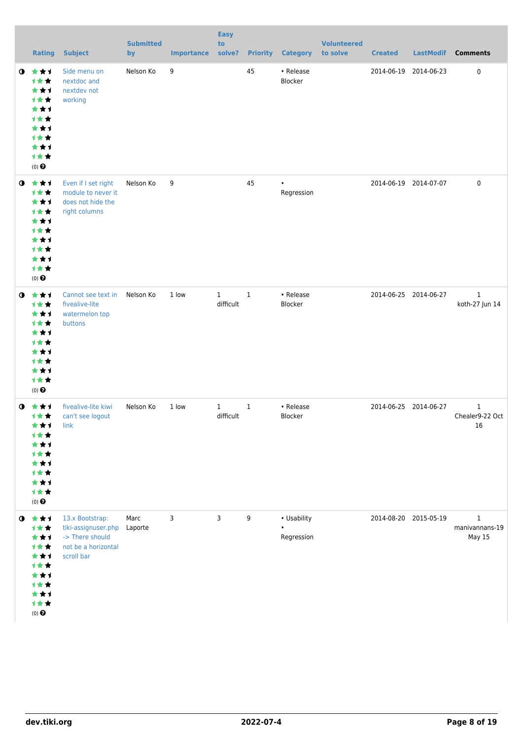|           | <b>Rating</b>                                                                                     | <b>Subject</b>                                                                                 | <b>Submitted</b><br>by | <b>Importance</b> | <b>Easy</b><br>to<br>solve? | <b>Priority</b> | <b>Category</b>                        | <b>Volunteered</b><br>to solve | <b>Created</b> | <b>LastModif</b>      | <b>Comments</b>                                 |
|-----------|---------------------------------------------------------------------------------------------------|------------------------------------------------------------------------------------------------|------------------------|-------------------|-----------------------------|-----------------|----------------------------------------|--------------------------------|----------------|-----------------------|-------------------------------------------------|
| $\bullet$ | ***<br>计女女<br>***<br>计女女<br>★★1<br>计女女<br>***<br><b>1**</b><br>***<br>计女女<br>$(0)$ $\odot$        | Side menu on<br>nextdoc and<br>nextdev not<br>working                                          | Nelson Ko              | 9                 |                             | 45              | • Release<br>Blocker                   |                                | 2014-06-19     | 2014-06-23            | $\pmb{0}$                                       |
| $\bullet$ | 大女子<br>计女女<br>***<br>1★★<br>***<br>计女女<br>★★1<br><b>1**</b><br>★★1<br>计女女<br>$(0)$ $\odot$        | Even if I set right<br>module to never it<br>does not hide the<br>right columns                | Nelson Ko              | 9                 |                             | 45              | $\bullet$<br>Regression                |                                |                | 2014-06-19 2014-07-07 | $\pmb{0}$                                       |
| $\bullet$ | ***<br>计女女<br>***<br>计女女<br>***<br>1★★<br>★★1<br>计女女<br>***<br>计女女<br>$(0)$ $\odot$               | Cannot see text in<br>fivealive-lite<br>watermelon top<br>buttons                              | Nelson Ko              | 1 low             | $\mathbf{1}$<br>difficult   | $\mathbf{1}$    | • Release<br>Blocker                   |                                |                | 2014-06-25 2014-06-27 | $\mathbf{1}$<br>koth-27 Jun 14                  |
| $\bullet$ | ***<br>计女女<br>***<br>***<br><b>1**</b><br>***<br><b>1★★</b><br>***<br>计女女<br>$(0)$ $\odot$        | fivealive-lite kiwi<br>can't see logout<br>link                                                | Nelson Ko              | 1 low             | $\mathbf{1}$<br>difficult   | $\mathbf{1}$    | • Release<br>Blocker                   |                                |                | 2014-06-25 2014-06-27 | $\mathbf{1}$<br>Chealer9-22 Oct<br>16           |
| $\bullet$ | 食食す<br>计女女<br>***<br>计女女<br>***<br><b>1**</b><br>***<br>计女女<br>★★1<br>计女女<br>$(0)$ $\pmb{\Theta}$ | 13.x Bootstrap:<br>tiki-assignuser.php<br>-> There should<br>not be a horizontal<br>scroll bar | Marc<br>Laporte        | 3                 | 3                           | 9               | • Usability<br>$\bullet$<br>Regression |                                |                | 2014-08-20 2015-05-19 | $\mathbf{1}$<br>manivannans-19<br><b>May 15</b> |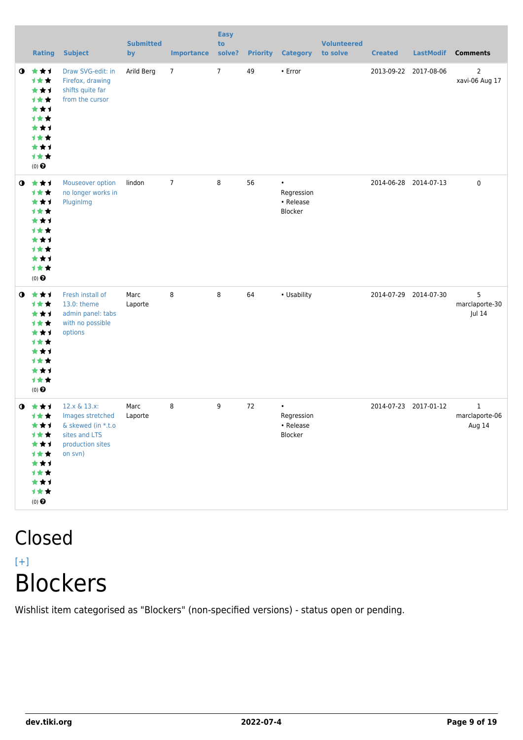|           | Rating                                                                                            | <b>Subject</b>                                                                                         | <b>Submitted</b><br>by | <b>Importance</b> | <b>Easy</b><br>to<br>solve? |    | <b>Priority Category</b>                        | <b>Volunteered</b><br>to solve | <b>Created</b> | <b>LastModif</b>      | <b>Comments</b>                          |
|-----------|---------------------------------------------------------------------------------------------------|--------------------------------------------------------------------------------------------------------|------------------------|-------------------|-----------------------------|----|-------------------------------------------------|--------------------------------|----------------|-----------------------|------------------------------------------|
| $\bullet$ | 大女子<br>计女女<br>***<br>计女女<br>***<br>计女女<br>***<br><b>1**</b><br>***<br>计女女<br>$(0)$ $\odot$        | Draw SVG-edit: in<br>Firefox, drawing<br>shifts quite far<br>from the cursor                           | Arild Berg             | $\overline{7}$    | $\overline{7}$              | 49 | • Error                                         |                                | 2013-09-22     | 2017-08-06            | $\overline{2}$<br>xavi-06 Aug 17         |
| $\bullet$ | 大女子<br>计女女<br>***<br><b>1**</b><br>***<br>***<br>***<br><b>1**</b><br>★★1<br>计女女<br>$(0)$ $\odot$ | Mouseover option<br>no longer works in<br>PluginImg                                                    | lindon                 | $\overline{7}$    | 8                           | 56 | $\bullet$<br>Regression<br>• Release<br>Blocker |                                |                | 2014-06-28 2014-07-13 | 0                                        |
| $\bullet$ | ***<br>1女女<br>***<br>计女女<br>***<br>计女女<br>***<br>计女女<br>***<br>计女女<br>$(0)$ $\odot$               | Fresh install of<br>13.0: theme<br>admin panel: tabs<br>with no possible<br>options                    | Marc<br>Laporte        | 8                 | 8                           | 64 | • Usability                                     |                                |                | 2014-07-29 2014-07-30 | 5<br>marclaporte-30<br>Jul 14            |
| $\bullet$ | 大女子<br>计女女<br>***<br>计女女<br>***<br>计女女<br>***<br>计女女<br>***<br>计女女<br>$(0)$ $\bigodot$            | 12.x & 13.x:<br>Images stretched<br>& skewed (in *.t.o<br>sites and LTS<br>production sites<br>on svn) | Marc<br>Laporte        | 8                 | 9                           | 72 | $\bullet$<br>Regression<br>• Release<br>Blocker |                                |                | 2014-07-23 2017-01-12 | $\mathbf{1}$<br>marclaporte-06<br>Aug 14 |

### Closed  $[+]$ Blockers

Wishlist item categorised as "Blockers" (non-specified versions) - status open or pending.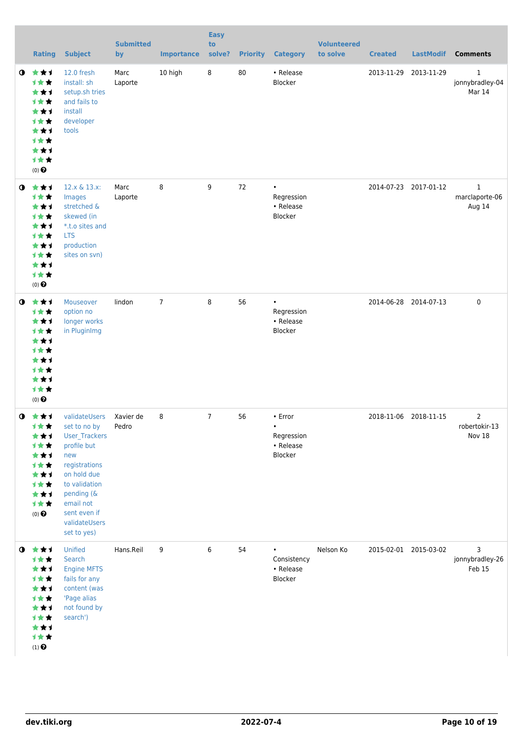|           | <b>Rating</b>                                                                                                   | <b>Subject</b>                                                                                                                                                                                   | <b>Submitted</b><br>by | <b>Importance</b> | <b>Easy</b><br>to<br>solve? | <b>Priority</b> | <b>Category</b>                                            | <b>Volunteered</b><br>to solve | <b>Created</b>        | <b>LastModif</b>      | <b>Comments</b>                           |
|-----------|-----------------------------------------------------------------------------------------------------------------|--------------------------------------------------------------------------------------------------------------------------------------------------------------------------------------------------|------------------------|-------------------|-----------------------------|-----------------|------------------------------------------------------------|--------------------------------|-----------------------|-----------------------|-------------------------------------------|
| $\bullet$ | ***<br>计女女<br>***<br>计女女<br>***<br>计女女<br>***<br>计女女<br>***<br>计女女<br>$(0)$ $\odot$                             | 12.0 fresh<br>install: sh<br>setup.sh tries<br>and fails to<br>install<br>developer<br>tools                                                                                                     | Marc<br>Laporte        | 10 high           | $\bf 8$                     | 80              | • Release<br>Blocker                                       |                                | 2013-11-29 2013-11-29 |                       | $\mathbf{1}$<br>jonnybradley-04<br>Mar 14 |
| $\bullet$ | 大女子<br>计女女<br>★★1<br>计女女<br>***<br><b>1**</b><br>***<br>计女女<br>***<br>计女女<br>$(0)$ $\odot$                      | 12.x & 13.x:<br>Images<br>stretched &<br>skewed (in<br>*.t.o sites and<br><b>LTS</b><br>production<br>sites on svn)                                                                              | Marc<br>Laporte        | 8                 | 9                           | 72              | $\bullet$<br>Regression<br>• Release<br>Blocker            |                                |                       | 2014-07-23 2017-01-12 | $\mathbf{1}$<br>marclaporte-06<br>Aug 14  |
| $\bullet$ | 女女子<br>计女女<br>***<br>计女女<br>***<br>计女女<br>**1<br><b>1**</b><br>***<br>计女女<br>$(0)$ $\odot$                      | Mouseover<br>option no<br>longer works<br>in PluginImg                                                                                                                                           | lindon                 | $\overline{7}$    | 8                           | 56              | $\bullet$<br>Regression<br>• Release<br>Blocker            |                                |                       | 2014-06-28 2014-07-13 | $\mathbf 0$                               |
| $\bullet$ | - 大 大 ゴ<br>计女女<br>★★1<br>计女女<br>***<br>计女女<br>***<br>计女女<br>***<br>计女女<br>$(0)$ $\odot$                         | validateUsers<br>set to no by<br>User_Trackers<br>profile but<br>new<br>registrations<br>on hold due<br>to validation<br>pending (&<br>email not<br>sent even if<br>validateUsers<br>set to yes) | Xavier de<br>Pedro     | 8                 | $\overline{7}$              | 56              | • Error<br>$\bullet$<br>Regression<br>• Release<br>Blocker |                                | 2018-11-06 2018-11-15 |                       | $\overline{2}$<br>robertokir-13<br>Nov 18 |
|           | $0$ $\star\star\star$<br>计女女<br>★★1<br>计女女<br>***<br>计女女<br>★★1<br>计女女<br>***<br>计女女<br>$(1)$<br>$\pmb{\Theta}$ | Unified<br>Search<br><b>Engine MFTS</b><br>fails for any<br>content (was<br>'Page alias<br>not found by<br>search')                                                                              | Hans.Reil              | 9                 | 6                           | 54              | Consistency<br>• Release<br>Blocker                        | Nelson Ko                      |                       | 2015-02-01 2015-03-02 | 3<br>jonnybradley-26<br>Feb 15            |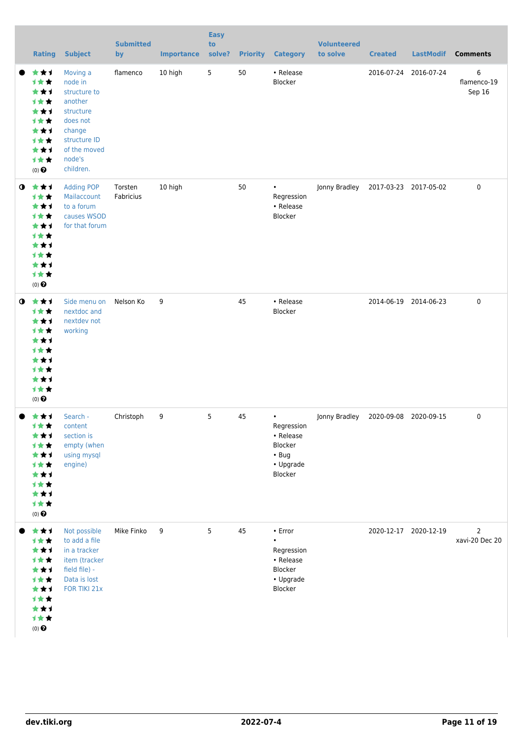|           | <b>Rating</b>                                                                                             | <b>Subject</b>                                                                                                                           | <b>Submitted</b><br>by | <b>Importance</b> | <b>Easy</b><br>to<br>solve? |    | <b>Priority Category</b>                                                                 | <b>Volunteered</b><br>to solve | <b>Created</b>        | <b>LastModif</b>      | <b>Comments</b>                  |
|-----------|-----------------------------------------------------------------------------------------------------------|------------------------------------------------------------------------------------------------------------------------------------------|------------------------|-------------------|-----------------------------|----|------------------------------------------------------------------------------------------|--------------------------------|-----------------------|-----------------------|----------------------------------|
|           | ★★1<br>1★★<br>***<br>计女女<br>***<br>计女女<br>***<br>1★★<br>***<br>计女女<br>$(0)$ $\odot$                       | Moving a<br>node in<br>structure to<br>another<br>structure<br>does not<br>change<br>structure ID<br>of the moved<br>node's<br>children. | flamenco               | 10 high           | $5\phantom{.0}$             | 50 | • Release<br>Blocker                                                                     |                                |                       | 2016-07-24 2016-07-24 | 6<br>flamenco-19<br>Sep 16       |
| $\bullet$ | ***<br>计女女<br>***<br>计女女<br>***<br>计女女<br>***<br>1★★<br>***<br>计女女<br>$(0)$ <sup><math>\odot</math></sup> | <b>Adding POP</b><br>Mailaccount<br>to a forum<br>causes WSOD<br>for that forum                                                          | Torsten<br>Fabricius   | 10 high           |                             | 50 | $\bullet$<br>Regression<br>• Release<br>Blocker                                          | Jonny Bradley                  | 2017-03-23 2017-05-02 |                       | 0                                |
| $\bullet$ | ***<br>计女女<br>***<br>1★★<br>***<br>才女女<br>***<br>计女女<br>***<br>1女女<br>$(0)$ <sup><math>\odot</math></sup> | Side menu on<br>nextdoc and<br>nextdev not<br>working                                                                                    | Nelson Ko              | 9                 |                             | 45 | • Release<br>Blocker                                                                     |                                |                       | 2014-06-19 2014-06-23 | 0                                |
|           | ***<br>1★★<br>**1<br>计女女<br>***<br>计女女<br>**1<br>1★★<br>***<br>计女女<br>$(0)$ $\bigodot$                    | Search -<br>content<br>section is<br>empty (when<br>using mysql<br>engine)                                                               | Christoph              | 9                 | 5                           | 45 | $\bullet$<br>Regression<br>• Release<br>Blocker<br>$\cdot$ Bug<br>• Upgrade<br>Blocker   | Jonny Bradley                  | 2020-09-08 2020-09-15 |                       | 0                                |
|           | ***<br>计女女<br>***<br>计女女<br>***<br>1★★<br>***<br>计女女<br>***<br>计女女<br>$(0)$ $\odot$                       | Not possible<br>to add a file<br>in a tracker<br>item (tracker<br>field file) -<br>Data is lost<br>FOR TIKI 21x                          | Mike Finko             | 9                 | 5                           | 45 | $\cdot$ Error<br>$\bullet$<br>Regression<br>• Release<br>Blocker<br>• Upgrade<br>Blocker |                                |                       | 2020-12-17 2020-12-19 | $\overline{2}$<br>xavi-20 Dec 20 |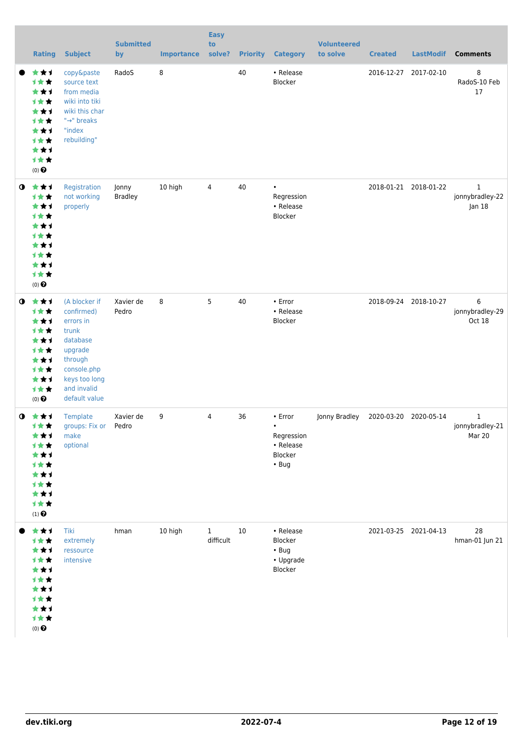|           | <b>Rating</b>                                                                                             | <b>Subject</b>                                                                                                                                      | <b>Submitted</b><br>by  | <b>Importance</b> | <b>Easy</b><br>to<br>solve? | <b>Priority</b> | <b>Category</b>                                                           | <b>Volunteered</b><br>to solve | <b>Created</b> | <b>LastModif</b>      | <b>Comments</b>                |
|-----------|-----------------------------------------------------------------------------------------------------------|-----------------------------------------------------------------------------------------------------------------------------------------------------|-------------------------|-------------------|-----------------------------|-----------------|---------------------------------------------------------------------------|--------------------------------|----------------|-----------------------|--------------------------------|
|           | ★★1<br>计女女<br>***<br>计女女<br>***<br>计女女<br>***<br>计女女<br>***<br>计女女<br>$(0)$ <sup><math>\odot</math></sup> | copy&paste<br>source text<br>from media<br>wiki into tiki<br>wiki this char<br>"→" breaks<br>"index<br>rebuilding"                                  | RadoS                   | 8                 |                             | 40              | • Release<br>Blocker                                                      |                                |                | 2016-12-27 2017-02-10 | 8<br>RadoS-10 Feb<br>17        |
| $\bullet$ | ***<br>计女女<br>***<br>计女女<br>***<br>计女女<br>***<br>计女女<br>***<br>计女女<br>$(0)$ <sup><math>\odot</math></sup> | Registration<br>not working<br>properly                                                                                                             | Jonny<br><b>Bradley</b> | 10 high           | 4                           | 40              | $\bullet$<br>Regression<br>• Release<br>Blocker                           |                                |                | 2018-01-21 2018-01-22 | 1<br>jonnybradley-22<br>Jan 18 |
| $\bullet$ | ***<br>计女女<br>***<br>计女女<br>***<br>计女女<br>***<br>计女女<br>***<br>计女女<br>$(0)$ $\odot$                       | (A blocker if<br>confirmed)<br>errors in<br>trunk<br>database<br>upgrade<br>through<br>console.php<br>keys too long<br>and invalid<br>default value | Xavier de<br>Pedro      | 8                 | 5                           | 40              | • Error<br>• Release<br>Blocker                                           |                                |                | 2018-09-24 2018-10-27 | 6<br>jonnybradley-29<br>Oct 18 |
| $\bullet$ | - 大 大 ゴ<br>计女女<br>★★1<br>计女女<br>***<br>1★★<br>***<br>计女女<br>***<br>计女女<br>$(1)$<br>$\pmb{\Theta}$         | Template<br>groups: Fix or Pedro<br>make<br>optional                                                                                                | Xavier de               | 9                 | 4                           | 36              | • Error<br>$\bullet$<br>Regression<br>• Release<br>Blocker<br>$\cdot$ Bug | Jonny Bradley                  |                | 2020-03-20 2020-05-14 | 1<br>jonnybradley-21<br>Mar 20 |
|           | ***<br>计女女<br>**1<br>才女女<br>**1<br>计女女<br>★★1<br>计女女<br>**1<br>计女女<br>$(0)$ $\odot$                       | Tiki<br>extremely<br>ressource<br>intensive                                                                                                         | hman                    | 10 high           | $\mathbf{1}$<br>difficult   | 10              | • Release<br>Blocker<br>$\cdot$ Bug<br>• Upgrade<br>Blocker               |                                |                | 2021-03-25 2021-04-13 | 28<br>hman-01 Jun 21           |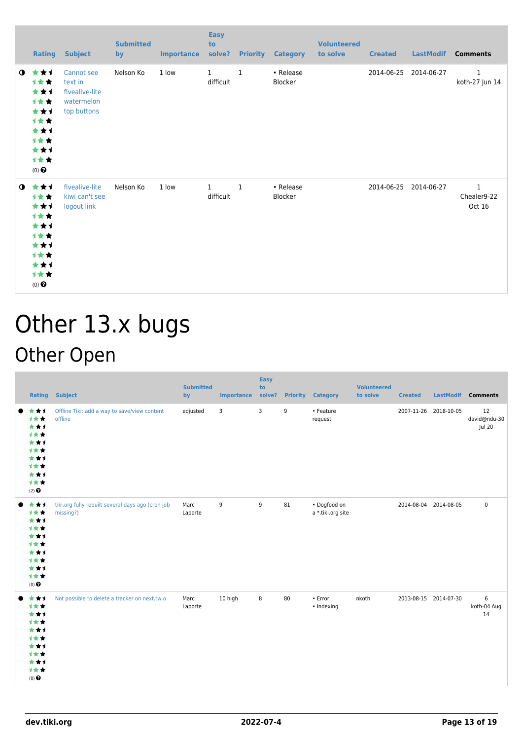|             | <b>Rating</b>                                                                                     | <b>Subject</b>                                                       | <b>Submitted</b><br>by | <b>Importance</b> | <b>Easy</b><br>to<br>solve? |              | <b>Priority Category</b>    | <b>Volunteered</b><br>to solve | <b>Created</b> | <b>LastModif</b>      | <b>Comments</b>                       |
|-------------|---------------------------------------------------------------------------------------------------|----------------------------------------------------------------------|------------------------|-------------------|-----------------------------|--------------|-----------------------------|--------------------------------|----------------|-----------------------|---------------------------------------|
| $\mathbf o$ | ***<br>1★★<br>***<br>计女女<br>***<br>计女女<br>***<br>计女女<br>***<br>计女女<br>$(0)$ $\pmb{\Theta}$        | Cannot see<br>text in<br>fivealive-lite<br>watermelon<br>top buttons | Nelson Ko              | 1 low             | $\mathbf{1}$<br>difficult   | $\mathbf{1}$ | • Release<br><b>Blocker</b> |                                | 2014-06-25     | 2014-06-27            | $\mathbf{1}$<br>koth-27 Jun 14        |
| $\mathbf 0$ | ***<br><b>1**</b><br>***<br>计女女<br>***<br>计女女<br>***<br><b>1**</b><br>***<br>计女女<br>$(0)$ $\odot$ | fivealive-lite<br>kiwi can't see<br>logout link                      | Nelson Ko              | 1 low             | $\mathbf{1}$<br>difficult   | $\mathbf{1}$ | • Release<br>Blocker        |                                |                | 2014-06-25 2014-06-27 | $\mathbf{1}$<br>Chealer9-22<br>Oct 16 |

## Other 13.x bugs Other Open

| <b>Rating</b>                                                                       | <b>Subject</b>                                                 | <b>Submitted</b><br>by | Importance solve? | <b>Easy</b><br>to | <b>Priority</b> | <b>Category</b>                   | <b>Volunteered</b><br>to solve | <b>Created</b>        | <b>LastModif</b> | <b>Comments</b>              |
|-------------------------------------------------------------------------------------|----------------------------------------------------------------|------------------------|-------------------|-------------------|-----------------|-----------------------------------|--------------------------------|-----------------------|------------------|------------------------------|
| ***<br>***<br>***<br>1★★<br>***<br>1**<br>***<br>1★★<br>***<br>计女女<br>$(2)$ $\odot$ | Offline Tiki: add a way to save/view content<br>offline        | edjusted               | 3                 | 3                 | 9               | • Feature<br>request              |                                | 2007-11-26 2018-10-05 |                  | 12<br>david@ndu-30<br>Jul 20 |
| ***<br>计女女<br>***<br>1**<br>***<br>1**<br>***<br>计女女<br>***<br>计女女<br>$(0)$ $\odot$ | tiki.org fully rebuilt several days ago (cron job<br>missing?) | Marc<br>Laporte        | 9                 | 9                 | 81              | · Dogfood on<br>a *.tiki.org site |                                | 2014-08-04 2014-08-05 |                  | $\pmb{0}$                    |
| ***<br>计女女<br>***<br>计女女<br>***<br>1**<br>***<br>计女女<br>***<br>计女女<br>$(0)$ $\odot$ | Not possible to delete a tracker on next.tw.o                  | Marc<br>Laporte        | 10 high           | 8                 | 80              | $\cdot$ Error<br>• Indexing       | nkoth                          | 2013-08-15 2014-07-30 |                  | 6<br>koth-04 Aug<br>14       |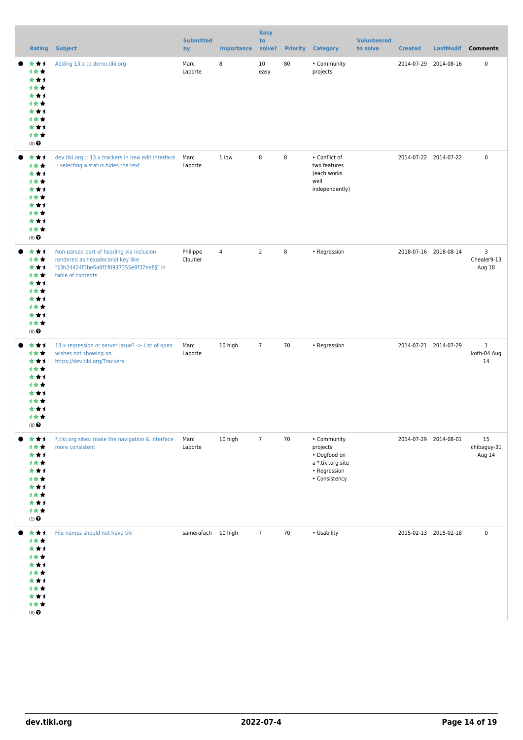|                                                                                                       |                                                                                                                                              | <b>Submitted</b>     |                   | <b>Easy</b><br>to |    |                                                                                               | <b>Volunteered</b> |                       |           |                                   |
|-------------------------------------------------------------------------------------------------------|----------------------------------------------------------------------------------------------------------------------------------------------|----------------------|-------------------|-------------------|----|-----------------------------------------------------------------------------------------------|--------------------|-----------------------|-----------|-----------------------------------|
| <b>Rating</b>                                                                                         | <b>Subject</b>                                                                                                                               | by                   | <b>Importance</b> | solve?            |    | <b>Priority Category</b>                                                                      | to solve           | <b>Created</b>        | LastModif | <b>Comments</b>                   |
| ***<br>计女女<br>***<br>计女女<br>***<br>计女女<br>***<br>计女女<br>***<br>计女女<br>$(0)$ $\odot$                   | Adding 13.x to demo.tiki.org                                                                                                                 | Marc<br>Laporte      | 8                 | 10<br>easy        | 80 | • Community<br>projects                                                                       |                    | 2014-07-29 2014-08-16 |           | $\pmb{0}$                         |
| ***<br>计女女<br>***<br>计女女<br>***<br>计女女<br>***<br>计女女<br>***<br>计女女<br>$(0)$ $\odot$                   | dev.tiki.org :: 13.x trackers in new edit interface<br>:: selecting a status hides the text                                                  | Marc<br>Laporte      | 1 low             | 8                 | 8  | • Conflict of<br>two features<br>(each works<br>well<br>independently)                        |                    | 2014-07-22 2014-07-22 |           | $\pmb{0}$                         |
| ***<br>计女女<br>***<br>计女女<br>***<br>计女女<br>***<br>计女女<br>***<br>计女女<br>$(0)$ $\odot$                   | Non-parsed part of heading via inclusion<br>rendered as hexadecimal key like<br>"§3b24424f3be6a8f1f0937355e8f37ee8§" in<br>table of contents | Philippe<br>Cloutier | $\sqrt{4}$        | $\overline{2}$    | 8  | • Regression                                                                                  |                    | 2018-07-16 2018-08-14 |           | 3<br>Chealer9-13<br>Aug 18        |
| ***<br>计女女<br>***<br>计女女<br>***<br>计女女<br>***<br>计女女<br>***<br>计女女<br>$(0)$ $\bullet$                 | 13.x regression or server issue? -> List of open<br>wishes not showing on<br>https://dev.tiki.org/Trackers                                   | Marc<br>Laporte      | 10 high           | $\overline{7}$    | 70 | • Regression                                                                                  |                    | 2014-07-21 2014-07-29 |           | $\mathbf{1}$<br>koth-04 Aug<br>14 |
| ***<br>计女女<br>***<br>计女女<br>***<br>计女女<br>***<br>计女女<br>***<br>计女女<br>$\left(1\right)$ $\pmb{\Theta}$ | *.tiki.org sites: make the navigation & interface<br>more consistent                                                                         | Marc<br>Laporte      | 10 high           | $\overline{7}$    | 70 | • Community<br>projects<br>· Dogfood on<br>a *.tiki.org site<br>• Regression<br>• Consistency |                    | 2014-07-29 2014-08-01 |           | 15<br>chibaguy-31<br>Aug 14       |
| ***<br>计女女<br>***<br>计女女<br>***<br>1 * *<br>***<br>计女女<br>***<br>计女女<br>$(0)$ $\odot$                 | File names should not have tiki                                                                                                              | samerafach 10 high   |                   | $\overline{7}$    | 70 | • Usability                                                                                   |                    | 2015-02-13 2015-02-18 |           | $\pmb{0}$                         |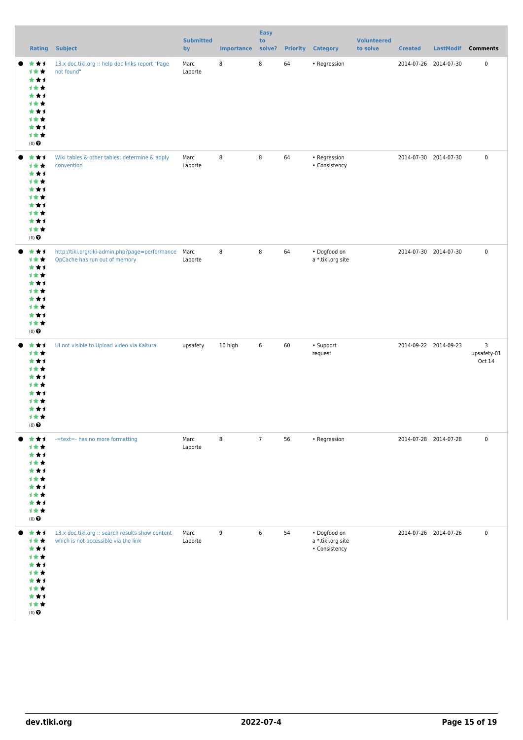|                                                                                                | <b>Rating Subject</b>                                                                    | <b>Submitted</b><br>by | <b>Importance</b> | <b>Easy</b><br>to<br>solve? |    | <b>Priority Category</b>                                   | <b>Volunteered</b><br>to solve | <b>Created</b>        | LastModif Comments         |
|------------------------------------------------------------------------------------------------|------------------------------------------------------------------------------------------|------------------------|-------------------|-----------------------------|----|------------------------------------------------------------|--------------------------------|-----------------------|----------------------------|
| ★↑<br>★<br>计女女<br>***<br>计女女<br>***<br>计女女<br>***<br>计女女<br>***<br>计女女<br>$(0)$ $\pmb{\Theta}$ | 13.x doc.tiki.org :: help doc links report "Page<br>not found"                           | Marc<br>Laporte        | 8                 | 8                           | 64 | • Regression                                               |                                | 2014-07-26 2014-07-30 | $\pmb{0}$                  |
| ***<br>计女女<br>***<br>计女女<br>***<br>计女女<br>***<br>计女女<br>***<br>计女女<br>$(0)$ $\pmb{\Theta}$     | Wiki tables & other tables: determine & apply<br>convention                              | Marc<br>Laporte        | 8                 | 8                           | 64 | • Regression<br>• Consistency                              |                                | 2014-07-30 2014-07-30 | $\pmb{0}$                  |
| ***<br>计女女<br>***<br>计女女<br>***<br>计女女<br>***<br>计女女<br>***<br>计女女<br>$(0)$ $\pmb{\Theta}$     | http://tiki.org/tiki-admin.php?page=performance<br>OpCache has run out of memory         | Marc<br>Laporte        | 8                 | $\,8\,$                     | 64 | • Dogfood on<br>a *.tiki.org site                          |                                | 2014-07-30 2014-07-30 | $\pmb{0}$                  |
| ***<br>计女女<br>***<br>计女女<br>***<br>计女女<br>***<br>计女女<br>***<br>计女女<br>$(0)$ $\odot$            | Ul not visible to Upload video via Kaltura                                               | upsafety               | 10 high           | $\,6\,$                     | 60 | • Support<br>request                                       |                                | 2014-09-22 2014-09-23 | 3<br>upsafety-01<br>Oct 14 |
| ***<br>计女女<br>***<br>计女女<br>***<br>计女女<br>***<br>计女女<br>***<br>计女女<br>$(0)$<br>$\pmb{\Theta}$  | -=text=- has no more formatting                                                          | Marc<br>Laporte        | 8                 | $\overline{7}$              | 56 | • Regression                                               |                                | 2014-07-28 2014-07-28 | $\pmb{0}$                  |
| ***<br>计女女<br>***<br>计女女<br>***<br>计女女<br>***<br>计女女<br>***<br>计女女<br>$(0)$ $\pmb{\Theta}$     | 13.x doc.tiki.org :: search results show content<br>which is not accessible via the link | Marc<br>Laporte        | 9                 | 6                           | 54 | $\bullet$ Dogfood on<br>a *.tiki.org site<br>• Consistency |                                | 2014-07-26 2014-07-26 | $\pmb{0}$                  |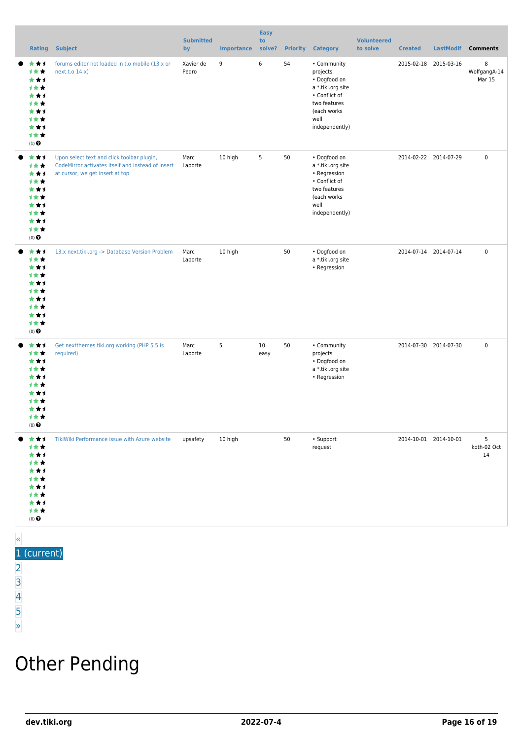|       | Rating                                                                                                | <b>Subject</b>                                                                                                                     | <b>Submitted</b><br>by | <b>Importance</b> | <b>Easy</b><br>to<br>solve? | <b>Priority</b> | <b>Category</b>                                                                                                                        | <b>Volunteered</b><br>to solve | <b>Created</b> | <b>LastModif</b>      | <b>Comments</b>             |
|-------|-------------------------------------------------------------------------------------------------------|------------------------------------------------------------------------------------------------------------------------------------|------------------------|-------------------|-----------------------------|-----------------|----------------------------------------------------------------------------------------------------------------------------------------|--------------------------------|----------------|-----------------------|-----------------------------|
|       | ***<br>计女女<br>***<br>计女女<br>***<br>计女女<br>***<br>计女女<br>***<br>计女女<br>$\left(1\right)$ $\pmb{\Theta}$ | forums editor not loaded in t.o mobile (13.x or<br>next.t.o 14.x)                                                                  | Xavier de<br>Pedro     | 9                 | 6                           | 54              | • Community<br>projects<br>• Dogfood on<br>a *.tiki.org site<br>• Conflict of<br>two features<br>(each works<br>well<br>independently) |                                |                | 2015-02-18 2015-03-16 | 8<br>WolfgangA-14<br>Mar 15 |
|       | ***<br>计女女<br>***<br>计女女<br>***<br>1**<br>***<br>计女女<br>***<br>计女女<br>$(0)$ $\odot$                   | Upon select text and click toolbar plugin,<br>CodeMirror activates itself and instead of insert<br>at cursor, we get insert at top | Marc<br>Laporte        | 10 high           | 5                           | 50              | • Dogfood on<br>a *.tiki.org site<br>• Regression<br>• Conflict of<br>two features<br>(each works<br>well<br>independently)            |                                |                | 2014-02-22 2014-07-29 | $\mathbf 0$                 |
|       | ***<br>计女女<br>***<br><b>1**</b><br>***<br>***<br>***<br>计女女<br>***<br>计女女<br>$(0)$ $\odot$            | 13.x next.tiki.org -> Database Version Problem                                                                                     | Marc<br>Laporte        | 10 high           |                             | 50              | • Dogfood on<br>a *.tiki.org site<br>• Regression                                                                                      |                                |                | 2014-07-14 2014-07-14 | $\mathbf 0$                 |
|       | ***<br>计女女<br>***<br>计女女<br>***<br>计女女<br>***<br>1**<br>***<br>计女女<br>$(0)$ $\odot$                   | Get nextthemes.tiki.org working (PHP 5.5 is<br>required)                                                                           | Marc<br>Laporte        | 5                 | 10<br>easy                  | 50              | • Community<br>projects<br>• Dogfood on<br>a *.tiki.org site<br>• Regression                                                           |                                |                | 2014-07-30 2014-07-30 | $\mathbf 0$                 |
|       | *1<br>1 * *<br>*1<br>**<br>1 * *<br>* * 1<br>计女女<br>$(0)$ $\odot$                                     | TikiWiki Performance issue with Azure website                                                                                      | upsafety               | 10 high           |                             | 50              | • Support<br>request                                                                                                                   |                                |                | 2014-10-01 2014-10-01 | 5<br>koth-02 Oct<br>14      |
| $\ll$ |                                                                                                       |                                                                                                                                    |                        |                   |                             |                 |                                                                                                                                        |                                |                |                       |                             |

#### 1 (current)

- [2](https://dev.tiki.org/tiki-print.php?tr_sort_mode1=f_26_asc&page=Tiki13&tr_sort_mode2=f_101_asc&tr_offset5=20)
- [3](https://dev.tiki.org/tiki-print.php?tr_sort_mode1=f_26_asc&page=Tiki13&tr_sort_mode2=f_101_asc&tr_offset5=40)
- [4](https://dev.tiki.org/tiki-print.php?tr_sort_mode1=f_26_asc&page=Tiki13&tr_sort_mode2=f_101_asc&tr_offset5=60)
- [5](https://dev.tiki.org/tiki-print.php?tr_sort_mode1=f_26_asc&page=Tiki13&tr_sort_mode2=f_101_asc&tr_offset5=80)

#### [»](https://dev.tiki.org/tiki-print.php?tr_sort_mode1=f_26_asc&page=Tiki13&tr_sort_mode2=f_101_asc&tr_offset5=20)

## Other Pending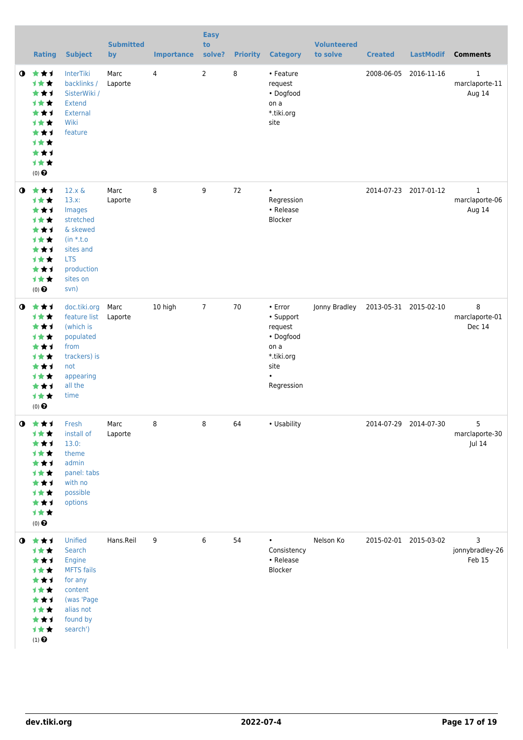|             | <b>Rating</b>                                                                                                           | <b>Subject</b>                                                                                                                        | <b>Submitted</b><br>by | <b>Importance</b> | <b>Easy</b><br>to<br>solve? | <b>Priority</b> | <b>Category</b>                                                                                       | <b>Volunteered</b><br>to solve | <b>Created</b> | <b>LastModif</b>      | <b>Comments</b>                          |
|-------------|-------------------------------------------------------------------------------------------------------------------------|---------------------------------------------------------------------------------------------------------------------------------------|------------------------|-------------------|-----------------------------|-----------------|-------------------------------------------------------------------------------------------------------|--------------------------------|----------------|-----------------------|------------------------------------------|
| $\bullet$   | 大大士<br><b>1**</b><br>***<br>才女女<br>***<br><b>1**</b><br>***<br>计女女<br>***<br>计女女<br>$(0)$ <sup><math>\odot</math></sup> | <b>InterTiki</b><br>backlinks /<br>SisterWiki /<br><b>Extend</b><br>External<br>Wiki<br>feature                                       | Marc<br>Laporte        | 4                 | $\overline{2}$              | 8               | • Feature<br>request<br>• Dogfood<br>on a<br>*.tiki.org<br>site                                       |                                | 2008-06-05     | 2016-11-16            | $\mathbf{1}$<br>marclaporte-11<br>Aug 14 |
| $\bullet$   | ***<br>计女女<br>***<br>计女女<br>***<br>计女女<br>★★1<br>计女女<br>***<br>计女女<br>$(0)$ $\odot$                                     | $12.x \&$<br>$13.x$ :<br>Images<br>stretched<br>& skewed<br>$(in * t.o)$<br>sites and<br><b>LTS</b><br>production<br>sites on<br>svn) | Marc<br>Laporte        | 8                 | 9                           | 72              | $\bullet$<br>Regression<br>• Release<br>Blocker                                                       |                                |                | 2014-07-23 2017-01-12 | $\mathbf{1}$<br>marclaporte-06<br>Aug 14 |
| $\mathbf o$ | 大女子<br>才女女<br>***<br>才女女<br>***<br>计女女<br>***<br>计女女<br>***<br>1★★<br>$(0)$ <sup><math>\odot</math></sup>               | doc.tiki.org<br>feature list<br>(which is<br>populated<br>from<br>trackers) is<br>not<br>appearing<br>all the<br>time                 | Marc<br>Laporte        | 10 high           | $7\overline{ }$             | 70              | • Error<br>• Support<br>request<br>• Dogfood<br>on a<br>*.tiki.org<br>site<br>$\bullet$<br>Regression | Jonny Bradley                  |                | 2013-05-31 2015-02-10 | 8<br>marclaporte-01<br>Dec 14            |
| $\mathbf 0$ | 女女士<br>计女女<br>***<br>计女女<br>***<br>才女女<br>***<br>才女女<br>★★1<br>计女女<br>$(0)$ $\pmb{\Theta}$                              | Fresh<br>install of<br>13.0:<br>theme<br>admin<br>panel: tabs<br>with no<br>possible<br>options                                       | Marc<br>Laporte        | 8                 | 8                           | 64              | • Usability                                                                                           |                                |                | 2014-07-29 2014-07-30 | 5<br>marclaporte-30<br>Jul 14            |
| $\bullet$   | 大大士<br>计女女<br>***<br>计女女<br>***<br>计女女<br>***<br>才女女<br>***<br>计女女<br>$\left(1\right)$ $\pmb{\Theta}$                   | Unified<br>Search<br>Engine<br><b>MFTS</b> fails<br>for any<br>content<br>(was 'Page<br>alias not<br>found by<br>search')             | Hans.Reil              | 9                 | 6                           | 54              | $\bullet$<br>Consistency<br>• Release<br>Blocker                                                      | Nelson Ko                      |                | 2015-02-01 2015-03-02 | 3<br>jonnybradley-26<br>Feb 15           |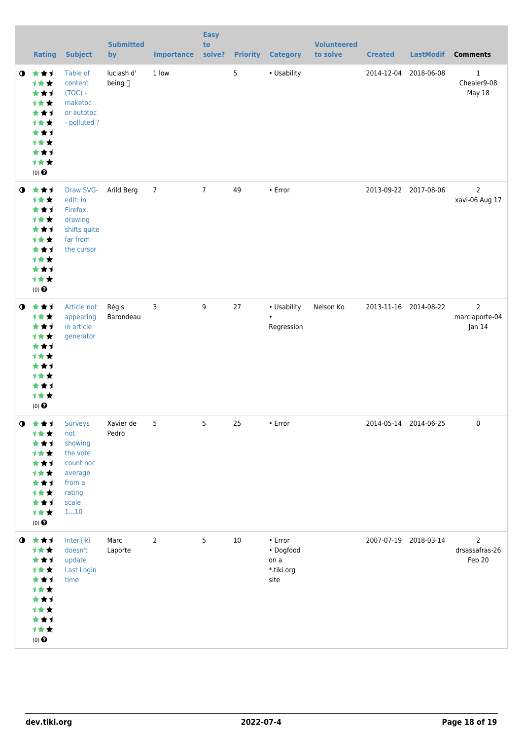|           | <b>Rating</b>                                                                                                   | <b>Subject</b>                                                                         | <b>Submitted</b><br>by | <b>Importance</b> | <b>Easy</b><br>to<br>solve? |                | <b>Priority Category</b>                           | <b>Volunteered</b><br>to solve | <b>Created</b> | <b>LastModif</b>      | <b>Comments</b>                              |
|-----------|-----------------------------------------------------------------------------------------------------------------|----------------------------------------------------------------------------------------|------------------------|-------------------|-----------------------------|----------------|----------------------------------------------------|--------------------------------|----------------|-----------------------|----------------------------------------------|
| $\bullet$ | 大女子<br>→★★<br>***<br>计女女<br>***<br>计女女<br>***<br>计女女<br>***<br>计女女<br>$(0)$<br>$\pmb{\Theta}$                   | Table of<br>content<br>$(TOC) -$<br>maketoc<br>or autotoc<br>- polluted?               | luciash d'<br>being [] | 1 low             |                             | $5\phantom{a}$ | • Usability                                        |                                |                | 2014-12-04 2018-06-08 | $\mathbf{1}$<br>Chealer9-08<br><b>May 18</b> |
| $\bullet$ | 大女子<br>计女女<br>***<br>计女女<br>***<br>计女女<br>***<br>计女女<br>***<br>计女女<br>$(0)$<br>$\pmb{\Theta}$                   | Draw SVG-<br>edit: in<br>Firefox,<br>drawing<br>shifts quite<br>far from<br>the cursor | Arild Berg             | $\overline{7}$    | $7\overline{ }$             | 49             | • Error                                            |                                |                | 2013-09-22 2017-08-06 | $\overline{2}$<br>xavi-06 Aug 17             |
| $\bullet$ | 大大大<br>计女女<br>***<br>计女女<br>***<br>计女女<br>***<br>计女女<br>***<br>计女女<br>$(0)$ $\odot$                             | Article not<br>appearing<br>in article<br>generator                                    | Régis<br>Barondeau     | 3                 | 9                           | 27             | • Usability<br>$\bullet$<br>Regression             | Nelson Ko                      |                | 2013-11-16 2014-08-22 | $\overline{2}$<br>marclaporte-04<br>Jan 14   |
|           | <b>O</b> ★★1 Surveys<br>计女女<br>***<br>计女女<br>***<br>计女女<br>***<br>计女女<br>***<br>计女女<br>$(0)$ $\odot$            | not<br>showing<br>the vote<br>count nor<br>average<br>from a<br>rating<br>scale<br>110 | Xavier de<br>Pedro     | 5                 | $5\phantom{a}$              | 25             | $\cdot$ Error                                      |                                |                | 2014-05-14 2014-06-25 | $\bf{0}$                                     |
|           | $0$ $\star\star\star$<br>计女女<br>***<br>计女女<br>***<br>计女女<br>***<br>计女女<br>***<br>计女女<br>$(0)$<br>$\pmb{\Theta}$ | InterTiki<br>doesn't<br>update<br>Last Login<br>time                                   | Marc<br>Laporte        | 2                 | 5                           | 10             | • Error<br>• Dogfood<br>on a<br>*.tiki.org<br>site |                                |                | 2007-07-19 2018-03-14 | $\overline{2}$<br>drsassafras-26<br>Feb 20   |